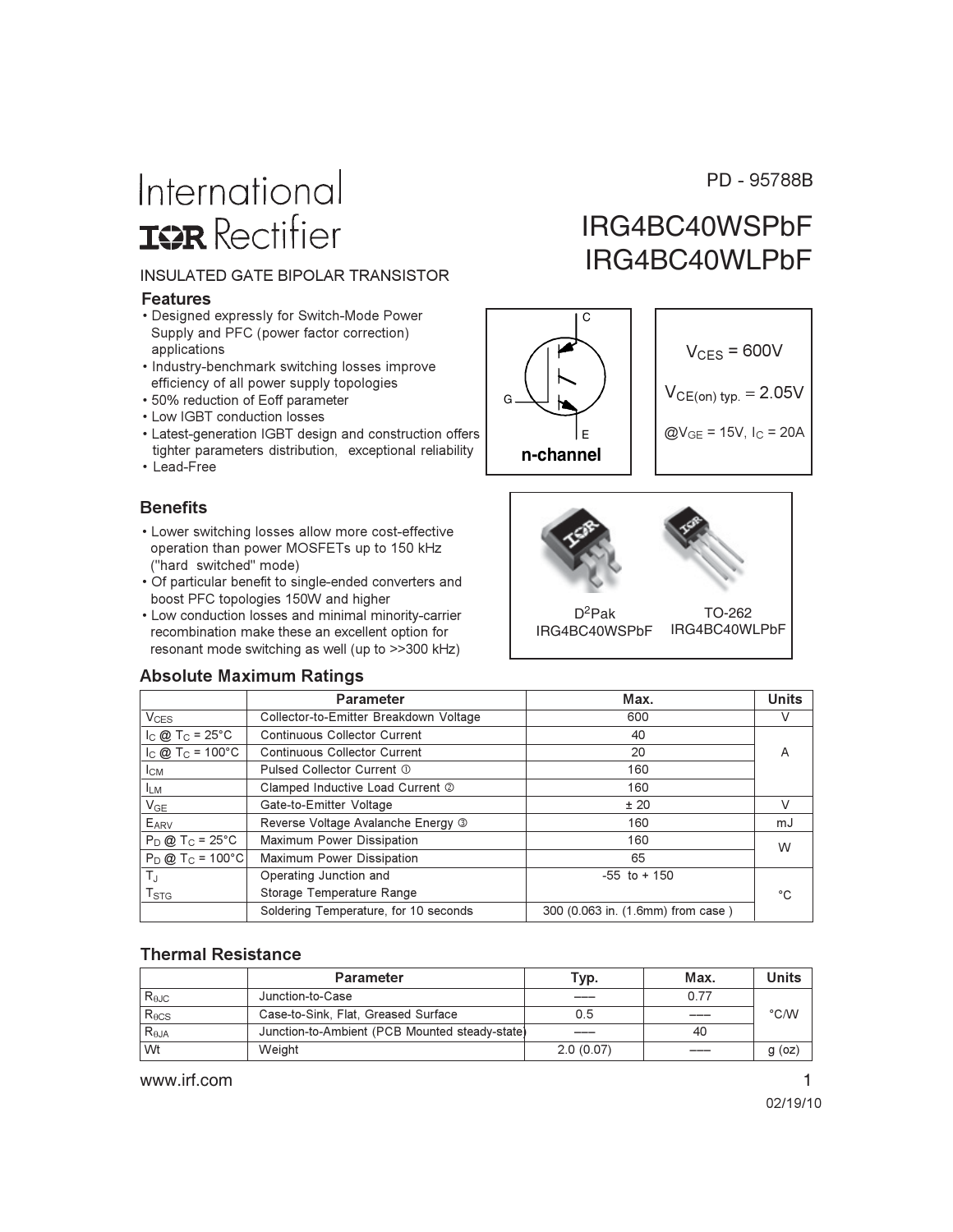#### PD - 95788B

# International **ISR** Rectifier

#### **INSULATED GATE BIPOLAR TRANSISTOR**

#### **Features**

- Designed expressly for Switch-Mode Power Supply and PFC (power factor correction) applications
- Industry-benchmark switching losses improve efficiency of all power supply topologies
- 50% reduction of Eoff parameter
- Low IGBT conduction losses
- Latest-generation IGBT design and construction offers tighter parameters distribution, exceptional reliability
- Lead-Free

#### **Benefits**

- Lower switching losses allow more cost-effective operation than power MOSFETs up to 150 kHz ("hard switched" mode)
- Of particular benefit to single-ended converters and boost PFC topologies 150W and higher
- Low conduction losses and minimal minority-carrier recombination make these an excellent option for resonant mode switching as well (up to >>300 kHz)

#### **Absolute Maximum Ratings**

### IRG4BC40WSPbF IRG4BC40WLPbF





|                                 | <b>Parameter</b>                       | Max.                              | <b>Units</b> |
|---------------------------------|----------------------------------------|-----------------------------------|--------------|
| $V_{CES}$                       | Collector-to-Emitter Breakdown Voltage | 600                               | V            |
| $I_{C}$ @ T <sub>C</sub> = 25°C | Continuous Collector Current           | 40                                |              |
| $I_C @ T_C = 100°C$             | <b>Continuous Collector Current</b>    | 20                                | A            |
| $I_{CM}$                        | Pulsed Collector Current 1             | 160                               |              |
| <sup>I</sup> LM                 | Clamped Inductive Load Current 2       | 160                               |              |
| $V_{GE}$                        | Gate-to-Emitter Voltage                | ±20                               | V            |
| EARV                            | Reverse Voltage Avalanche Energy 3     | 160                               | mJ           |
| $P_D @ T_C = 25°C$              | Maximum Power Dissipation              | 160                               | W            |
| $P_D @ T_C = 100°C$             | Maximum Power Dissipation              | 65                                |              |
| $T_{J}$                         | Operating Junction and                 | $-55$ to $+150$                   |              |
| $T_{\rm STG}$                   | Storage Temperature Range              |                                   | °C           |
|                                 | Soldering Temperature, for 10 seconds  | 300 (0.063 in. (1.6mm) from case) |              |

#### **Thermal Resistance**

|                    | <b>Parameter</b>                               | Typ.      | Max. | Units         |
|--------------------|------------------------------------------------|-----------|------|---------------|
| $R_{\theta$ J $C}$ | Junction-to-Case                               |           | 0.77 |               |
| $R_{\theta CS}$    | Case-to-Sink, Flat, Greased Surface            | 0.5       | ____ | $\degree$ C/W |
| $R_{\theta$ JA     | Junction-to-Ambient (PCB Mounted steady-state) | ____      | 40   |               |
| Wt                 | Weight                                         | 2.0(0.07) |      | q(oz)         |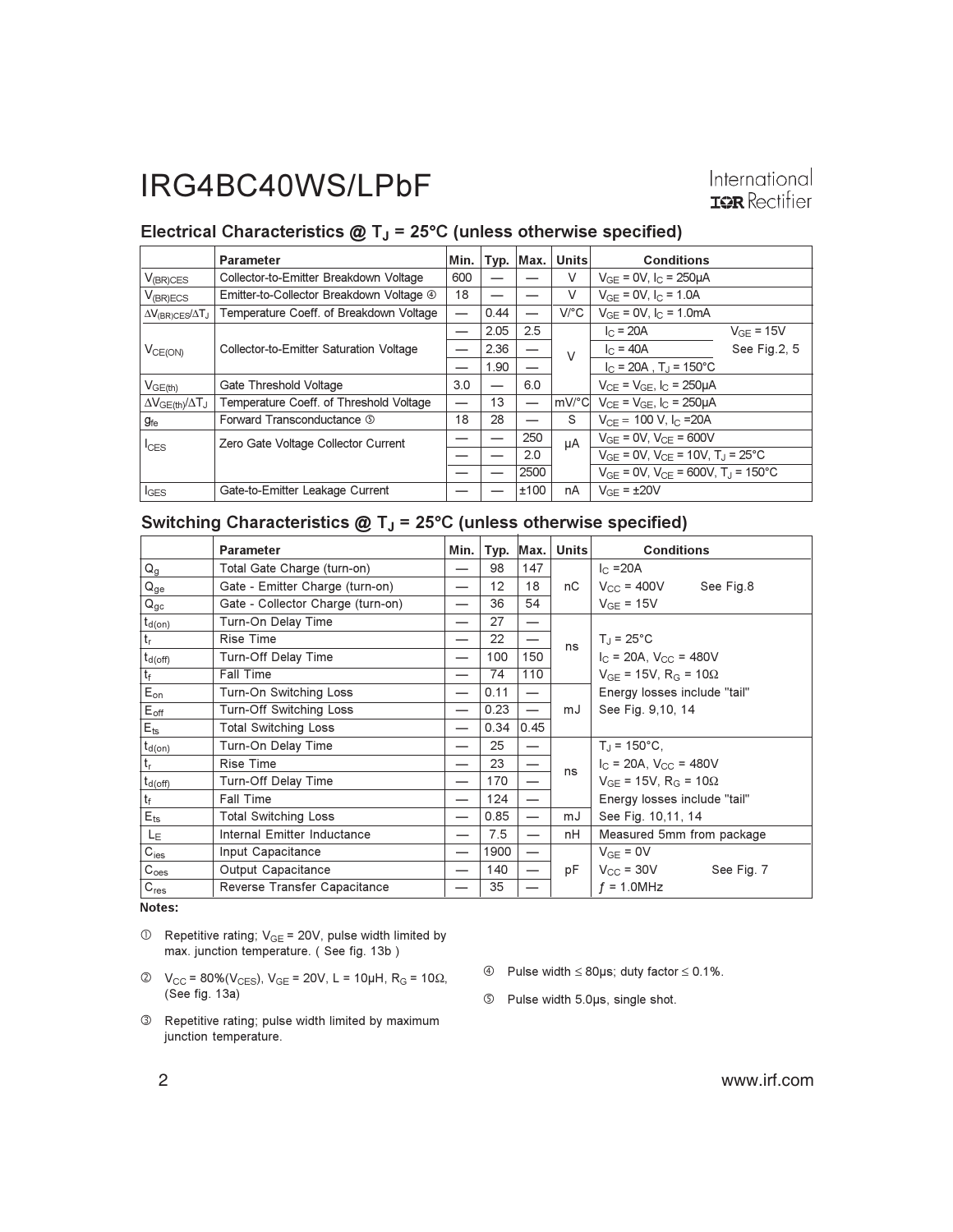#### International **IOR** Rectifier

#### Electrical Characteristics  $@T_J = 25°C$  (unless otherwise specified)

|                                        | <b>Parameter</b>                         | Min.                     | Typ. | Max.                     | <b>Units</b> | <b>Conditions</b>                                         |  |
|----------------------------------------|------------------------------------------|--------------------------|------|--------------------------|--------------|-----------------------------------------------------------|--|
| $V_{(BR)CES}$                          | Collector-to-Emitter Breakdown Voltage   | 600                      |      |                          | V            | $V_{GF} = 0V$ , $I_C = 250 \mu A$                         |  |
| $V_{(BR)ECS}$                          | Emitter-to-Collector Breakdown Voltage 4 | 18                       |      |                          | V            | $V_{GE} = 0V$ , $I_C = 1.0A$                              |  |
| $\Delta V_{\text{(BR)CES}}/\Delta T_J$ | Temperature Coeff. of Breakdown Voltage  | $\overline{\phantom{0}}$ | 0.44 | $\overline{\phantom{0}}$ | $V$ /°C      | $V_{GF} = 0V$ , $I_C = 1.0mA$                             |  |
|                                        | Collector-to-Emitter Saturation Voltage  |                          | 2.05 | 2.5                      |              | $I_{C}$ = 20A<br>$V_{GF}$ = 15V                           |  |
| $V_{CE(ON)}$                           |                                          |                          | 2.36 |                          | $\vee$       | See Fig.2, 5<br>$I_{C} = 40A$                             |  |
|                                        |                                          |                          | 1.90 | $\overline{\phantom{0}}$ |              | $I_C = 20A$ , $T_A = 150^{\circ}C$                        |  |
| V <sub>GE(th)</sub>                    | Gate Threshold Voltage                   | 3.0                      |      | 6.0                      |              | $V_{CF} = V_{GF}$ , $I_{C} = 250 \mu A$                   |  |
| $\Delta V_{GE(th)}/\Delta T_J$         | Temperature Coeff. of Threshold Voltage  |                          | 13   |                          | lmV/°Cl      | $V_{CF} = V_{GF}$ , $I_{C} = 250 \mu A$                   |  |
| $g_{\rm fe}$                           | Forward Transconductance 5               | 18                       | 28   | —                        | S            | $V_{CF} = 100 V, IC = 20A$                                |  |
| $I_{CES}$                              | Zero Gate Voltage Collector Current      |                          |      | 250                      | μA           | $V_{GE} = 0V$ , $V_{CE} = 600V$                           |  |
|                                        |                                          |                          |      | 2.0                      |              | $V_{GF} = 0V$ , $V_{CF} = 10V$ , $T_{J} = 25^{\circ}C$    |  |
|                                        |                                          |                          |      | 2500                     |              | $V_{GF} = 0V$ , $V_{CF} = 600V$ , $T_{J} = 150^{\circ}$ C |  |
| $I_{GES}$                              | Gate-to-Emitter Leakage Current          |                          |      | ±100                     | nA           | $V_{GF}$ = $\pm 20V$                                      |  |

#### Switching Characteristics  $@T_J = 25°C$  (unless otherwise specified)

|                                 | <b>Parameter</b>                  | Min. | Typ. | Max.                     | <b>Units</b> | <b>Conditions</b>                    |
|---------------------------------|-----------------------------------|------|------|--------------------------|--------------|--------------------------------------|
| $\mathsf{Q}_{\mathsf{g}}$       | Total Gate Charge (turn-on)       |      | 98   | 147                      |              | $I_{C} = 20A$                        |
| $Q_{ge}$                        | Gate - Emitter Charge (turn-on)   |      | 12   | 18                       | nС           | $V_{CC}$ = 400V<br>See Fig.8         |
| $Q_{gc}$                        | Gate - Collector Charge (turn-on) |      | 36   | 54                       |              | $V_{GF} = 15V$                       |
| <sub>l</sub> t <sub>d(on)</sub> | Turn-On Delay Time                |      | 27   | $\overline{\phantom{0}}$ |              |                                      |
| $\mathsf{t}_\mathsf{r}$         | <b>Rise Time</b>                  |      | 22   |                          | ns           | $T_J = 25^{\circ}C$                  |
| $t_{d(off)}$                    | Turn-Off Delay Time               |      | 100  | 150                      |              | $I_C = 20A$ , $V_{CC} = 480V$        |
| $t_f$                           | Fall Time                         | —    | 74   | 110                      |              | $V_{GF}$ = 15V, R <sub>G</sub> = 10Ω |
| $E_{on}$                        | Turn-On Switching Loss            |      | 0.11 | $\overline{\phantom{m}}$ |              | Energy losses include "tail"         |
| $E_{\text{off}}$                | Turn-Off Switching Loss           |      | 0.23 |                          | mJ           | See Fig. 9,10, 14                    |
| $E_{ts}$                        | <b>Total Switching Loss</b>       |      | 0.34 | 0.45                     |              |                                      |
| ∣ t <u>d(on)</u>                | Turn-On Delay Time                |      | 25   |                          |              | $T_{\rm d}$ = 150°C,                 |
| $ t_r$                          | <b>Rise Time</b>                  |      | 23   | —                        | ns           | $I_C$ = 20A, $V_{CC}$ = 480V         |
| $t_{d(off)}$                    | Turn-Off Delay Time               | –    | 170  |                          |              | $V_{GF}$ = 15V, R <sub>G</sub> = 10Ω |
| $ t_f $                         | <b>Fall Time</b>                  |      | 124  |                          |              | Energy losses include "tail"         |
| $E_{\rm ts}$                    | <b>Total Switching Loss</b>       |      | 0.85 | —                        | mJ           | See Fig. 10,11, 14                   |
| LE                              | Internal Emitter Inductance       |      | 7.5  |                          | nH           | Measured 5mm from package            |
| $C_{\text{ies}}$                | Input Capacitance                 |      | 1900 | —                        |              | $V_{GF} = 0V$                        |
| C <sub>oes</sub>                | Output Capacitance                |      | 140  |                          | рF           | $V_{CC}$ = 30V<br>See Fig. 7         |
| $C_{res}$                       | Reverse Transfer Capacitance      |      | 35   |                          |              | $f = 1.0$ MHz                        |

Notes:

- $\circled{1}$  Repetitive rating; V<sub>GE</sub> = 20V, pulse width limited by max. junction temperature. (See fig. 13b)
- $\circled{2}$   $V_{CC}$  = 80%( $V_{CES}$ ),  $V_{GE}$  = 20V, L = 10µH, R<sub>G</sub> = 10 $\Omega$ , (See fig. 13a)
- 3 Repetitive rating; pulse width limited by maximum junction temperature.
- 4 Pulse width  $\leq$  80µs; duty factor  $\leq$  0.1%.
- <sup>5</sup> Pulse width 5.0µs, single shot.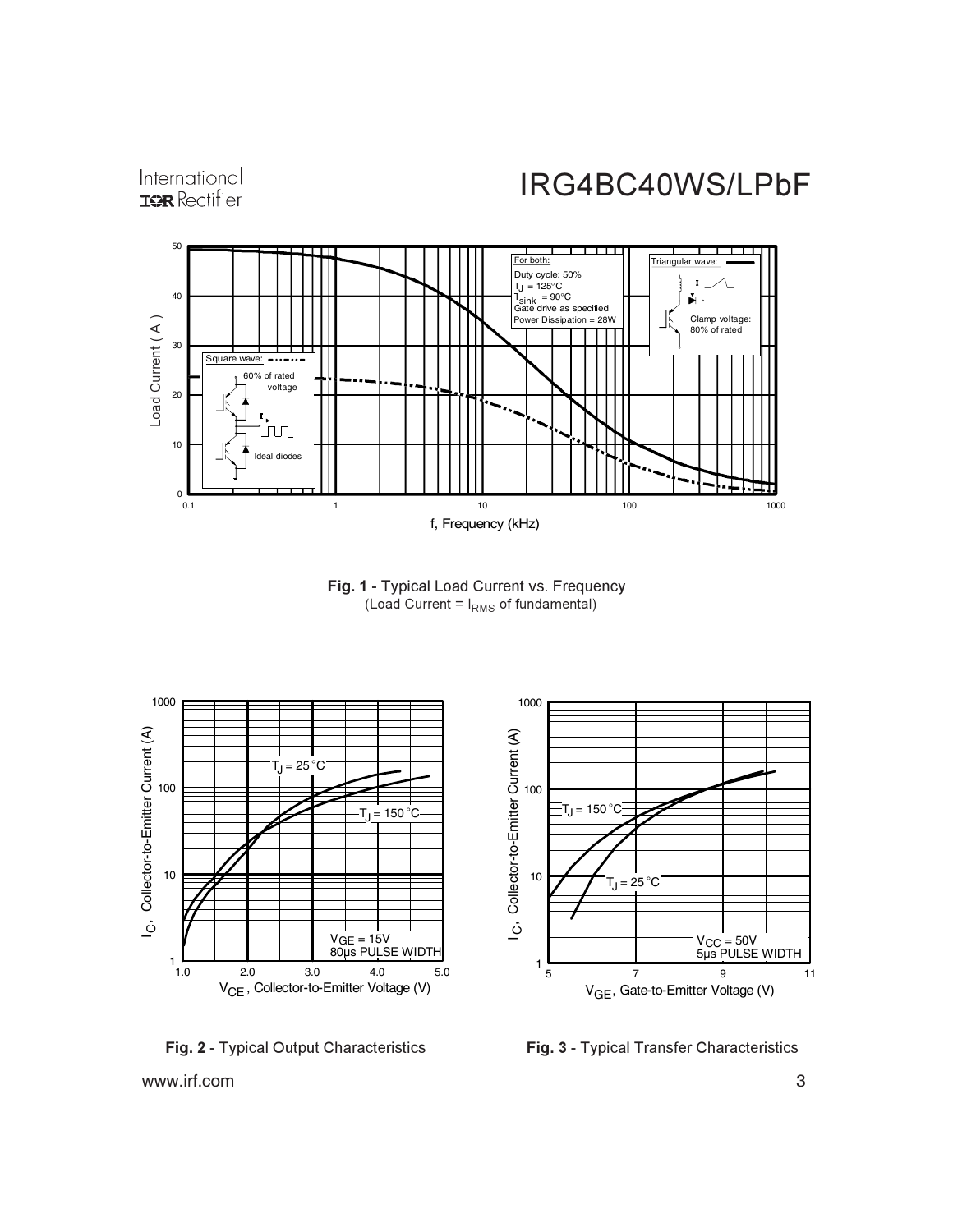International **IOR** Rectifier

## IRG4BC40WS/LPbF



Fig. 1 - Typical Load Current vs. Frequency (Load Current =  $I_{RMS}$  of fundamental)



**Fig. 2 - Typical Output Characteristics Fi** 

**g. 3 -** Typical Transfer Characteristics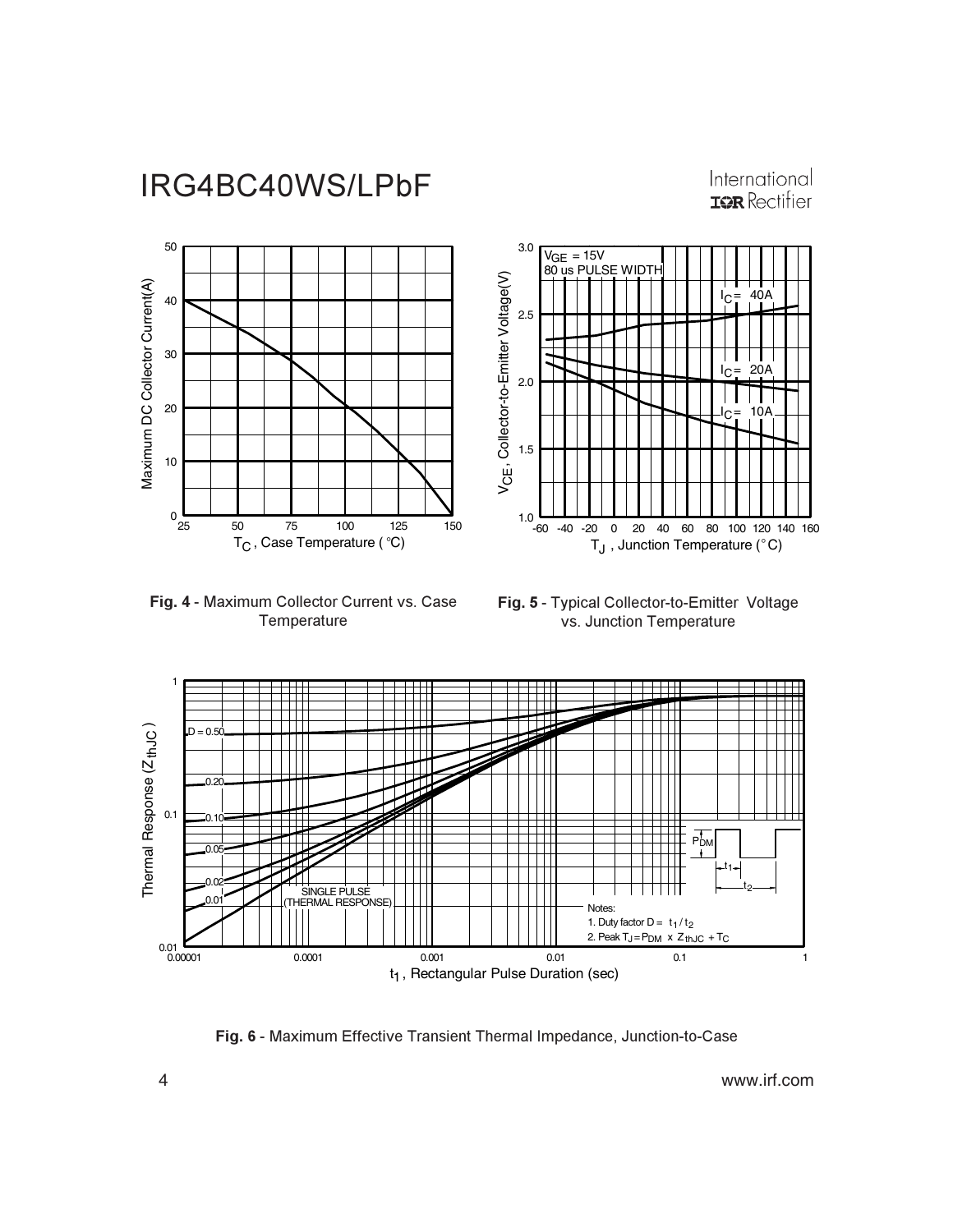#### International **IOR** Rectifier



Fig. 4 - Maximum Collector Current vs. Case Temperature



**Fig. 5 - Typical Collector-to-Emitter Voltage** vs. Junction Temperature



Fig. 6 - Maximum Effective Transient Thermal Impedance, Junction-to-Case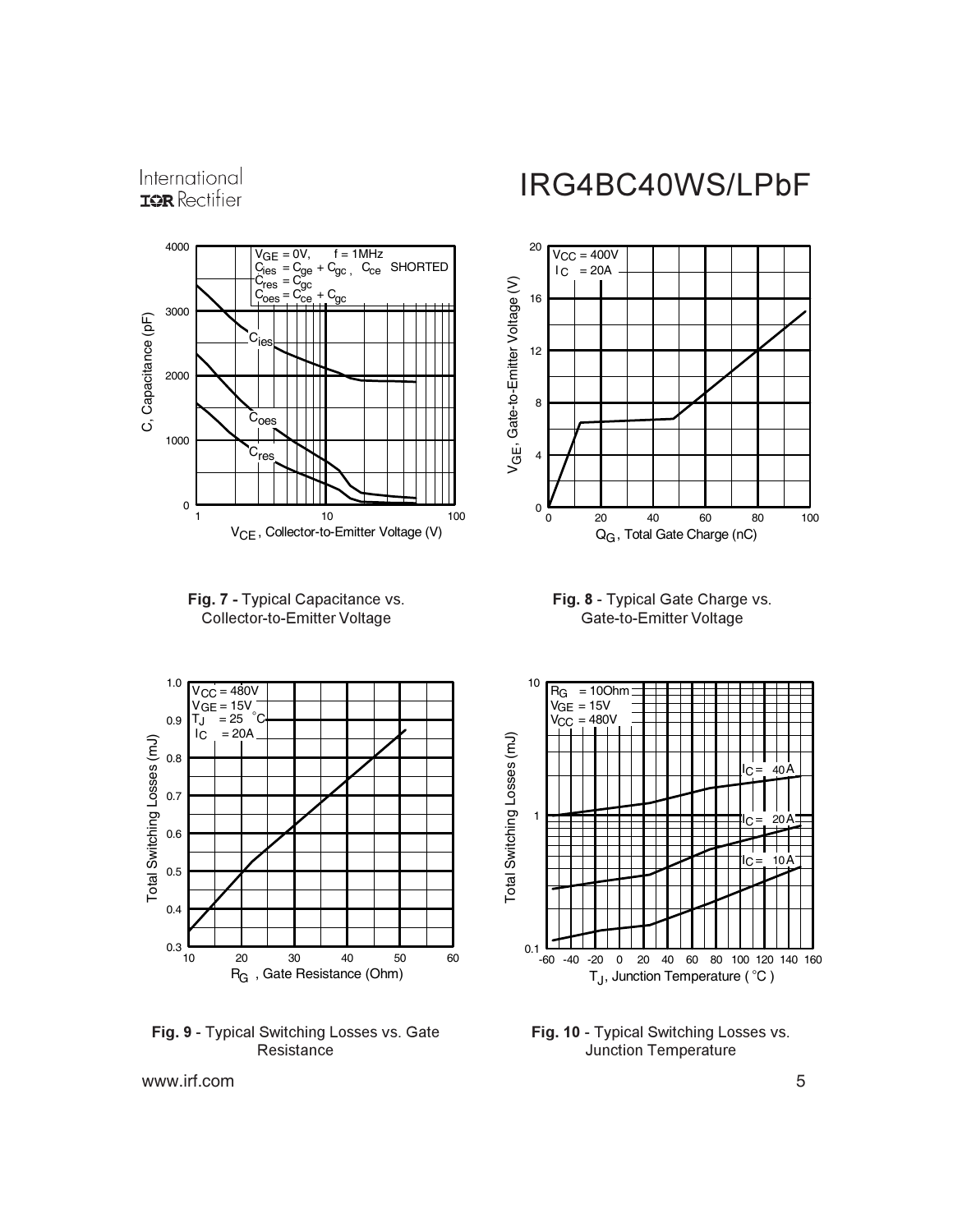International **IOR** Rectifier







Fig. 9 - Typical Switching Losses vs. Gate Resistance

### IRG4BC40WS/LPbF







Fig. 10 - Typical Switching Losses vs. Junction Temperature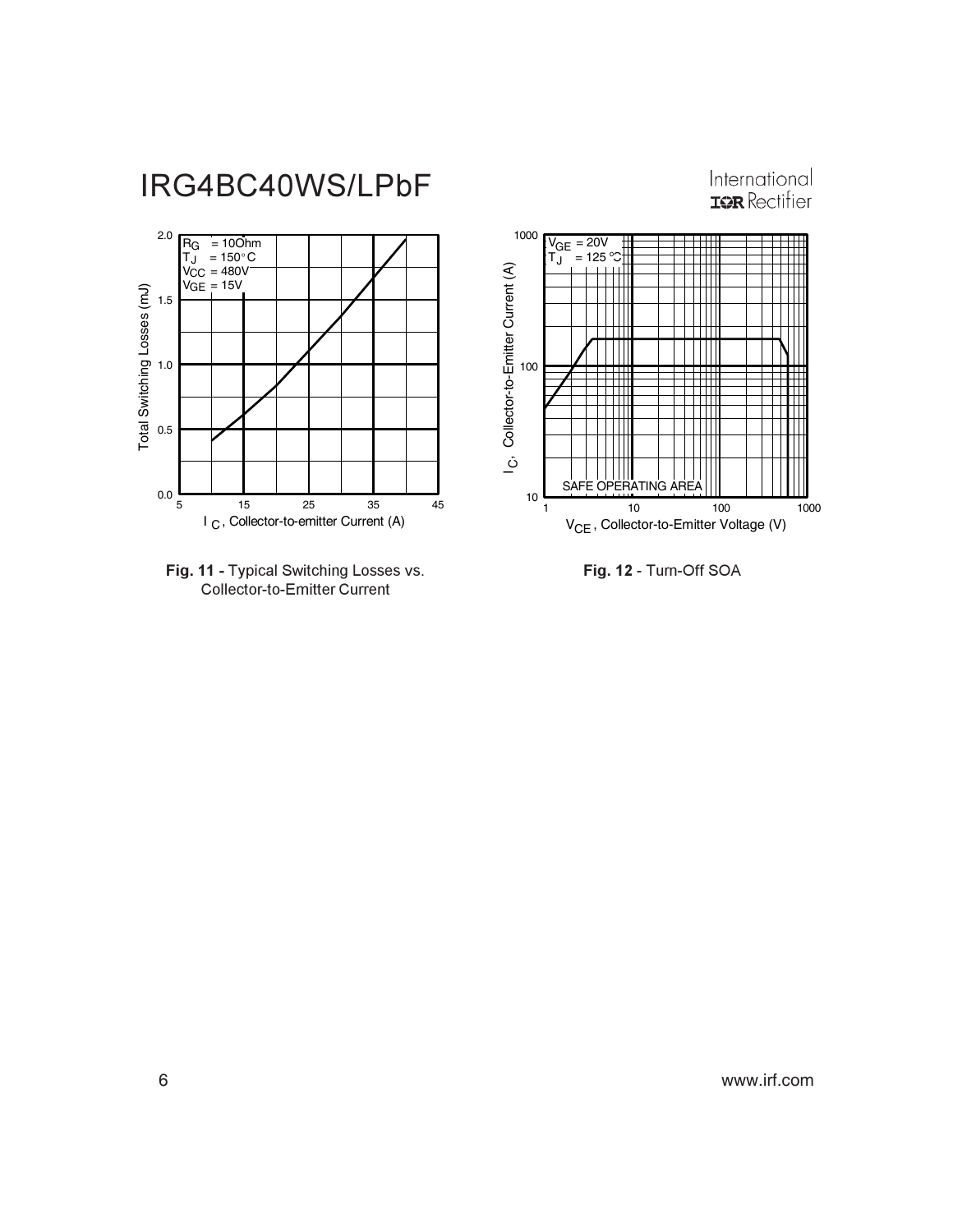







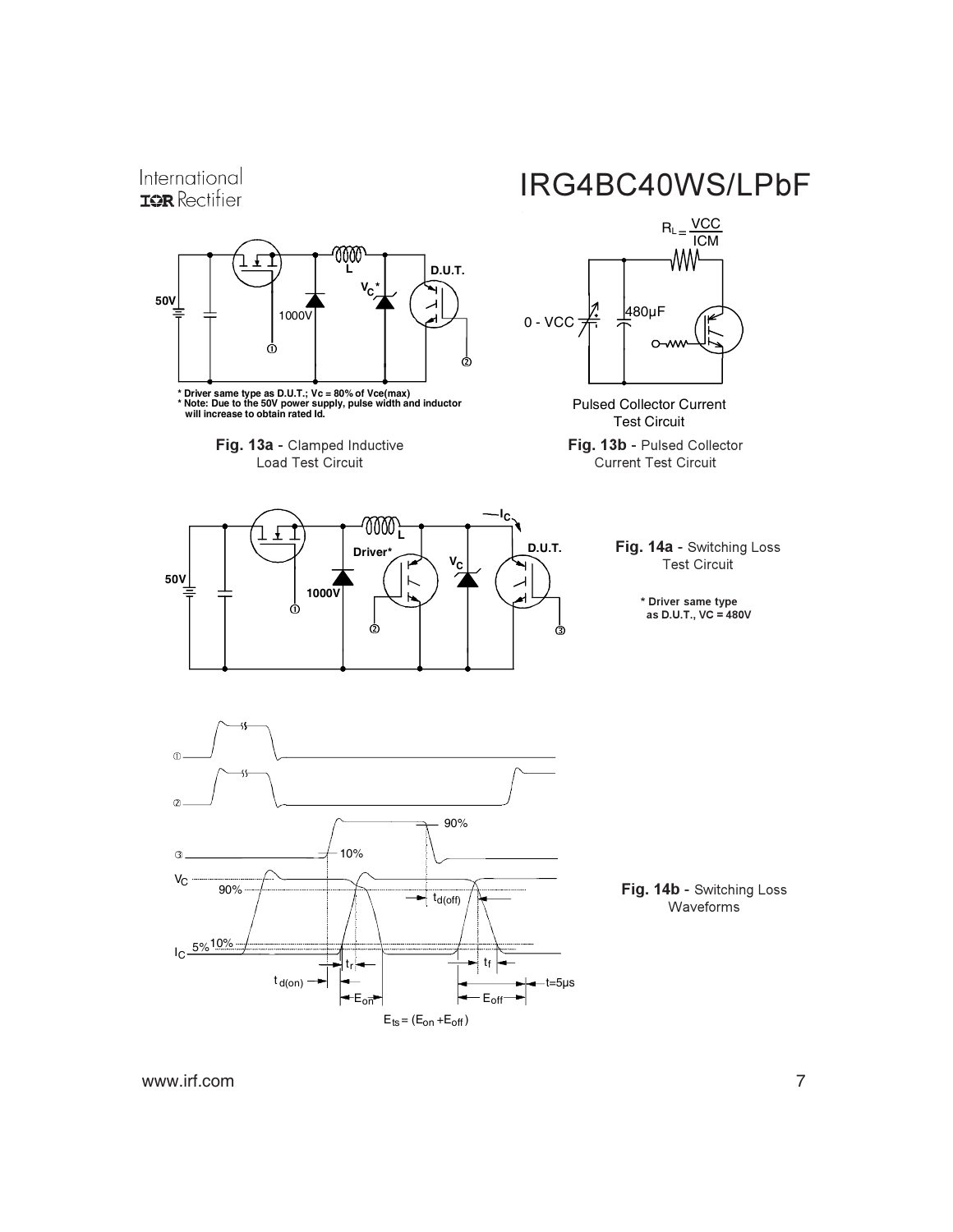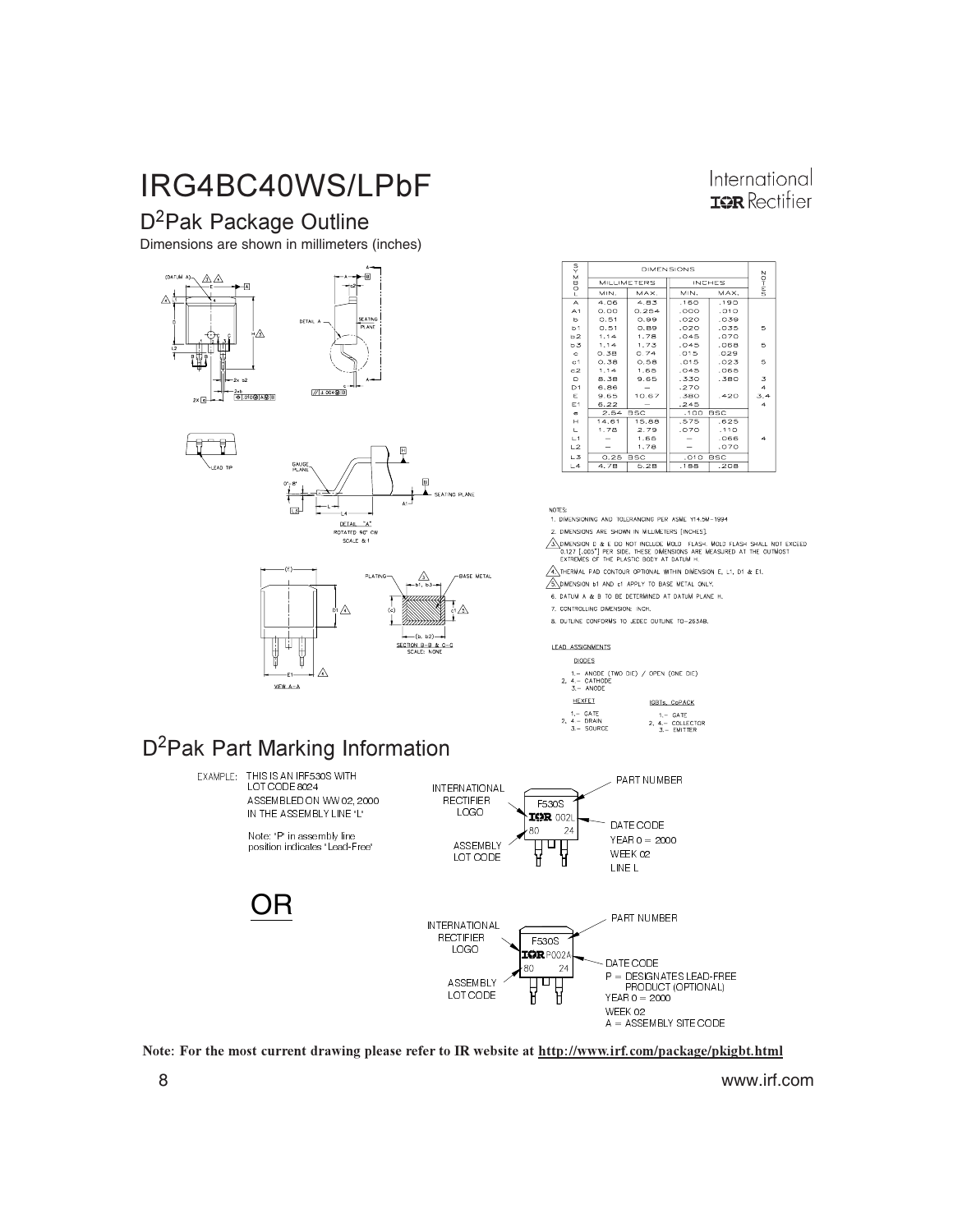### D<sup>2</sup>Pak Package Outline

Dimensions are shown in millimeters (inches)









| International        |
|----------------------|
| <b>ISR</b> Rectifier |

| ş              | <b>DIMENSIONS</b>  |            |  |                    |            |     |
|----------------|--------------------|------------|--|--------------------|------------|-----|
| $r$ OOZ.       | <b>MILLIMETERS</b> |            |  | <b>INCHES</b>      | $MM-0Z$    |     |
|                | MIN.               | MAX.       |  | MIN.               | MAX.       |     |
| A              | 4.06               | 4.83       |  | .160               | .190       |     |
| A <sub>1</sub> | O. O O             | 0.254      |  | .000               | .010       |     |
| ь              | 0.51               | 0.99       |  | .020               | .039       |     |
| b <sub>1</sub> | O.51               | 0.89       |  | .020               | .035       | 5   |
| <b>b2</b>      | 1.14               | 1.78       |  | .045               | .070       |     |
| ь3             | 1.14               | 1.73       |  | .045               | .068       | 6   |
| $\circ$        | 0.38               | 0.74       |  | .015               | .029       |     |
| c <sub>1</sub> | 0.38               | 0.58       |  | .015               | .023       | 5   |
| C <sub>2</sub> | 1.14               | 1,65       |  | .045               | .065       |     |
| D              | 8.38               | 9.65       |  | .330               | .380       | 3   |
| D <sub>1</sub> | 6,86               |            |  | .270               |            | 4   |
| Ε              | 9.65               | 10.67      |  | .380               | .420       | 3,4 |
| E1             | 6.22               |            |  | .245               |            | 4   |
| ÷              | 2.54               | <b>BSC</b> |  | .100               | <b>BSC</b> |     |
| н              | 14,61              | 15.88      |  | .575               | .625       |     |
| Е              | 1.78               | 2.79       |  | .070               | .110       |     |
| L1             |                    | 1.65       |  |                    | .066       | 4   |
| L2             |                    | 1,78       |  |                    | .070       |     |
| L3             | 0.25               | <b>BSC</b> |  | .010<br><b>BSC</b> |            |     |
| L4             | 4.78               | 5.28       |  | .188               | .208       |     |

1. DIMENSIONING AND TOLERANGING PER ASME Y14.5M-1994

2. DIMENSIONS ARE SHOWN IN MILLIMETERS [INCHES]

A CONSIDER THE CONTINUES OF THE PLASH. MOLD FLASH SHALL NOT EXCEED<br>0.127 [.005"] PER SIDE, THESE DMENSIONS ARE MEASURED AT THE OUTMOST<br>EXTREMES OF THE PLASTIC BODY AT DATUM H.

 $\overbrace{A}\overline{A}$ THERMAL PAD CONTOUR OPTIONAL WITHIN DIMENSION E, L1, D1 & E1,

SOMENSION BY AND CI APPLY TO BASE METAL ONLY. 6. DATUM A & B TO BE DETERMINED AT DATUM PLANE H.

7. CONTROLLING DIMENSION: INCH.

8. OUTLINE CONFORMS TO JEDEC OUTLINE TO-263AB.

**LEAD ASSIGNMENTS** 

**DIODES** 1. – ANODE (TWO)<br>2. 4. – CATHODE<br>3. – ANODE  $DE)$  / OPEN (ONE DIE)



### D<sup>2</sup>Pak Part Marking Information



Note: For the most current drawing please refer to IR website at http://www.irf.com/package/pkigbt.html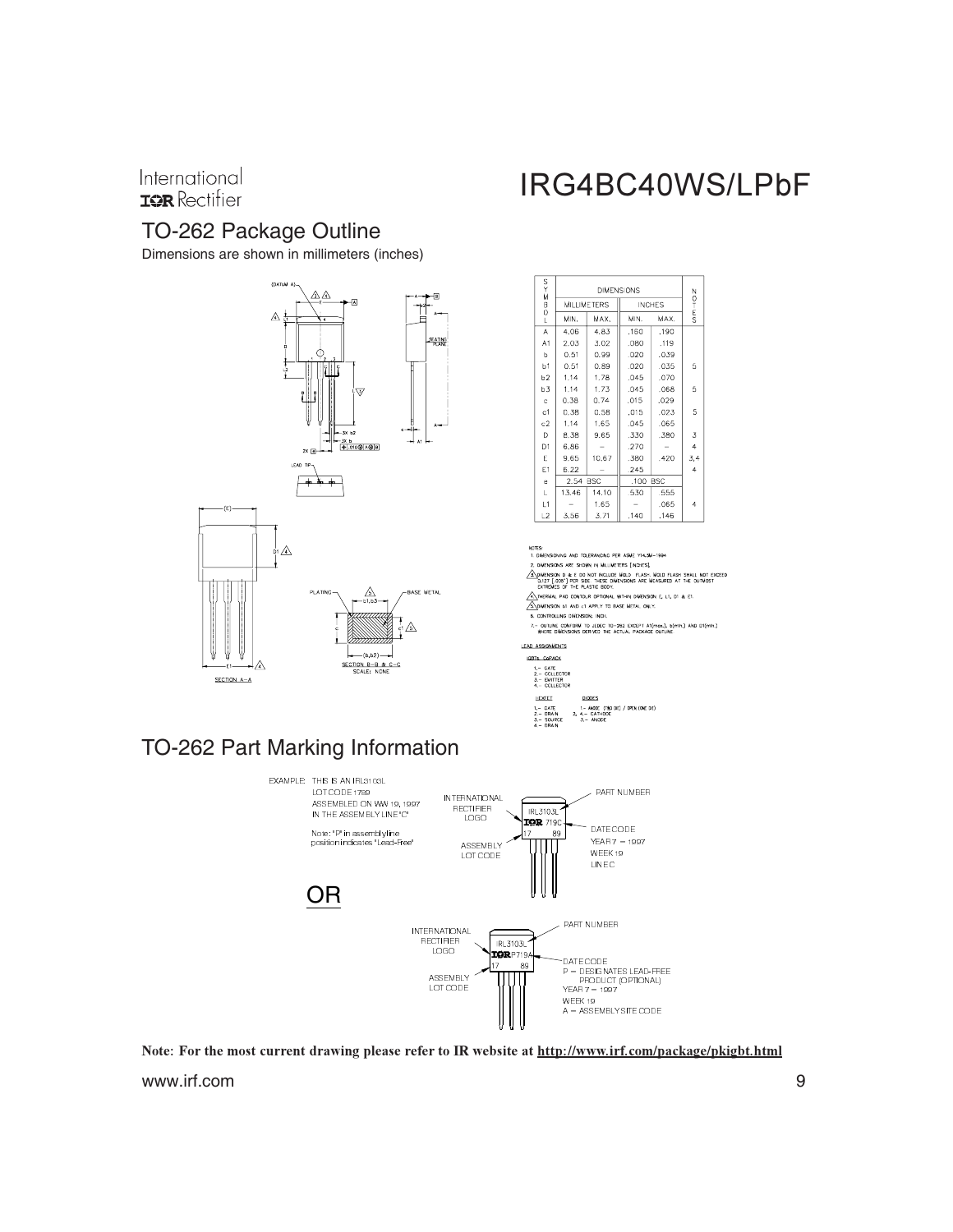#### International **IOR** Rectifier

### TO-262 Package Outline

Dimensions are shown in millimeters (inches)



## IRG4BC40WS/LPbF

| S<br>∡x        | <b>DIMENSIONS</b>  |       |               |                  |     |  |
|----------------|--------------------|-------|---------------|------------------|-----|--|
|                | <b>MILLIMETERS</b> |       | <b>INCHES</b> | O<br>T<br>E<br>S |     |  |
| B<br>O<br>L    | MIN.               | MAX.  | MIN.          | MAX.             |     |  |
| A              | 4.06               | 4.83  | .160          | .190             |     |  |
| A1             | 2.03               | 3.02  | .080          | ,119             |     |  |
| b              | 0.51               | 0.99  | .020          | .039             |     |  |
| h <sub>1</sub> | 0.51               | 0.89  | .020          | .035             | 5   |  |
| b2             | 1.14               | 1.78  | .045          | .070             |     |  |
| b3             | 1.14               | 1.73  | .045          | .068             | 5   |  |
| c              | 0.38               | 0.74  | .015          | .029             |     |  |
| c1             | 0.38               | 0.58  | .015          | .023             | 5   |  |
| c2             | 1.14               | 1.65  | .045          | .065             |     |  |
| D              | 8.38               | 9.65  | .330          | .380             | 3   |  |
| D <sub>1</sub> | 6.86               |       | .270          |                  | 4   |  |
| E              | 9.65               | 10.67 | .380          | .420             | 3,4 |  |
| E1             | 6.22               |       | .245          |                  | 4   |  |
| e              | 2.54 BSC           |       | .100 BSC      |                  |     |  |
| L              | 13.46              | 14.10 | .530          | .555             |     |  |
| L1             |                    | 1.65  |               | .065             | 4   |  |
| L2             | 3.56               | 3.71  | .140          | .146             |     |  |

.<br>Are shown in Millimeters finche SH SHALL NOT EXCEED

 $L1, D1 & E E$ 

AND of APPLY METAL ONLY .<br>Nati

.<br>IRM TO JEDEC TO-262 EXCEPT AT(mox.), b(mín.) AND DT(mín.)<br>NS DERIVED THE ACTUAL PACKAGE OUTLINE. - QUTLINE CONI<br>WHERE DIMENS

.<br>Die) / Open (one die)



### TO-262 Part Marking Information



Note: For the most current drawing please refer to IR website at http://www.irf.com/package/pkigbt.html www.irf.com